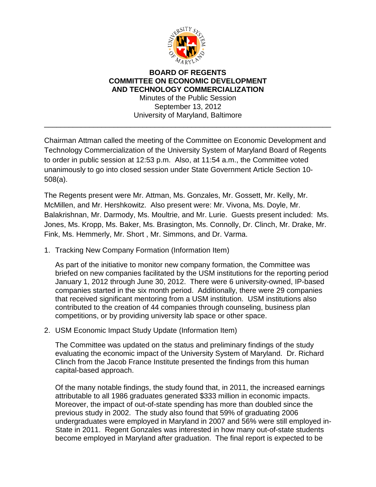

## **BOARD OF REGENTS COMMITTEE ON ECONOMIC DEVELOPMENT AND TECHNOLOGY COMMERCIALIZATION** Minutes of the Public Session

September 13, 2012 University of Maryland, Baltimore

\_\_\_\_\_\_\_\_\_\_\_\_\_\_\_\_\_\_\_\_\_\_\_\_\_\_\_\_\_\_\_\_\_\_\_\_\_\_\_\_\_\_\_\_\_\_\_\_\_\_\_\_\_\_\_\_\_\_\_\_\_\_\_\_\_\_\_\_\_\_

Chairman Attman called the meeting of the Committee on Economic Development and Technology Commercialization of the University System of Maryland Board of Regents to order in public session at 12:53 p.m. Also, at 11:54 a.m., the Committee voted unanimously to go into closed session under State Government Article Section 10- 508(a).

The Regents present were Mr. Attman, Ms. Gonzales, Mr. Gossett, Mr. Kelly, Mr. McMillen, and Mr. Hershkowitz. Also present were: Mr. Vivona, Ms. Doyle, Mr. Balakrishnan, Mr. Darmody, Ms. Moultrie, and Mr. Lurie. Guests present included: Ms. Jones, Ms. Kropp, Ms. Baker, Ms. Brasington, Ms. Connolly, Dr. Clinch, Mr. Drake, Mr. Fink, Ms. Hemmerly, Mr. Short , Mr. Simmons, and Dr. Varma.

1. Tracking New Company Formation (Information Item)

As part of the initiative to monitor new company formation, the Committee was briefed on new companies facilitated by the USM institutions for the reporting period January 1, 2012 through June 30, 2012. There were 6 university-owned, IP-based companies started in the six month period. Additionally, there were 29 companies that received significant mentoring from a USM institution. USM institutions also contributed to the creation of 44 companies through counseling, business plan competitions, or by providing university lab space or other space.

2. USM Economic Impact Study Update (Information Item)

The Committee was updated on the status and preliminary findings of the study evaluating the economic impact of the University System of Maryland. Dr. Richard Clinch from the Jacob France Institute presented the findings from this human capital-based approach.

Of the many notable findings, the study found that, in 2011, the increased earnings attributable to all 1986 graduates generated \$333 million in economic impacts. Moreover, the impact of out-of-state spending has more than doubled since the previous study in 2002. The study also found that 59% of graduating 2006 undergraduates were employed in Maryland in 2007 and 56% were still employed in-State in 2011. Regent Gonzales was interested in how many out-of-state students become employed in Maryland after graduation. The final report is expected to be